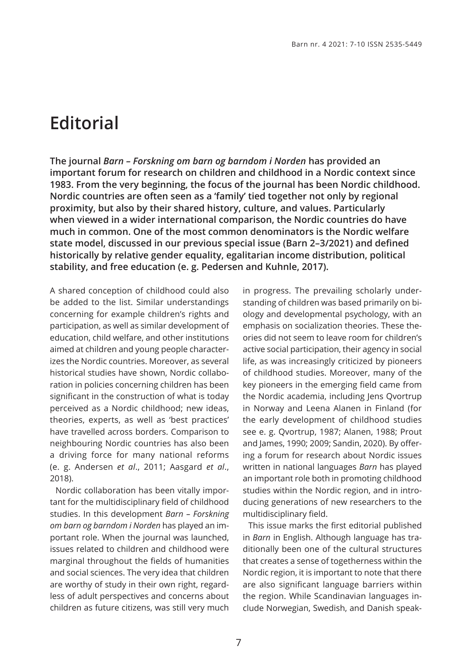## **Editorial**

**The journal** *Barn – Forskning om barn og barndom i Norden* **has provided an important forum for research on children and childhood in a Nordic context since 1983. From the very beginning, the focus of the journal has been Nordic childhood. Nordic countries are often seen as a 'family' tied together not only by regional proximity, but also by their shared history, culture, and values. Particularly when viewed in a wider international comparison, the Nordic countries do have much in common. One of the most common denominators is the Nordic welfare state model, discussed in our previous special issue (Barn 2–3/2021) and defined historically by relative gender equality, egalitarian income distribution, political stability, and free education (e. g. Pedersen and Kuhnle, 2017).** 

A shared conception of childhood could also be added to the list. Similar understandings concerning for example children's rights and participation, as well as similar development of education, child welfare, and other institutions aimed at children and young people characterizes the Nordic countries. Moreover, as several historical studies have shown, Nordic collaboration in policies concerning children has been significant in the construction of what is today perceived as a Nordic childhood; new ideas, theories, experts, as well as 'best practices' have travelled across borders. Comparison to neighbouring Nordic countries has also been a driving force for many national reforms (e. g. Andersen *et al*., 2011; Aasgard *et al*., 2018).

Nordic collaboration has been vitally important for the multidisciplinary field of childhood studies. In this development *Barn – Forskning om barn og barndom i Norden* has played an important role. When the journal was launched, issues related to children and childhood were marginal throughout the fields of humanities and social sciences. The very idea that children are worthy of study in their own right, regardless of adult perspectives and concerns about children as future citizens, was still very much

in progress. The prevailing scholarly understanding of children was based primarily on biology and developmental psychology, with an emphasis on socialization theories. These theories did not seem to leave room for children's active social participation, their agency in social life, as was increasingly criticized by pioneers of childhood studies. Moreover, many of the key pioneers in the emerging field came from the Nordic academia, including Jens Qvortrup in Norway and Leena Alanen in Finland (for the early development of childhood studies see e. g. Qvortrup, 1987; Alanen, 1988; Prout and James, 1990; 2009; Sandin, 2020). By offering a forum for research about Nordic issues written in national languages *Barn* has played an important role both in promoting childhood studies within the Nordic region, and in introducing generations of new researchers to the multidisciplinary field.

This issue marks the first editorial published in *Barn* in English. Although language has traditionally been one of the cultural structures that creates a sense of togetherness within the Nordic region, it is important to note that there are also significant language barriers within the region. While Scandinavian languages include Norwegian, Swedish, and Danish speak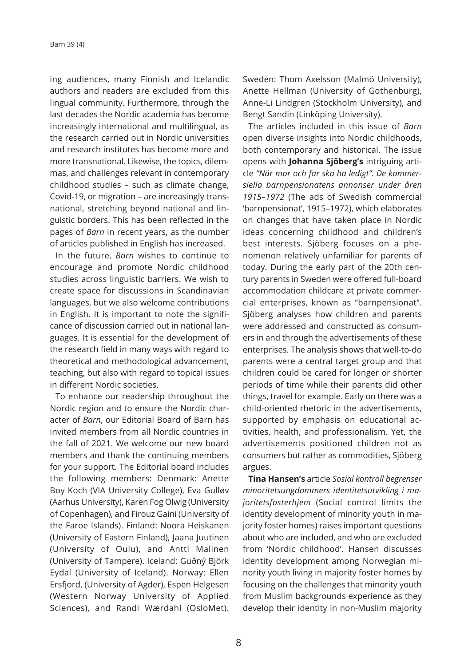ing audiences, many Finnish and Icelandic authors and readers are excluded from this lingual community. Furthermore, through the last decades the Nordic academia has become increasingly international and multilingual, as the research carried out in Nordic universities and research institutes has become more and more transnational. Likewise, the topics, dilemmas, and challenges relevant in contemporary childhood studies – such as climate change, Covid-19, or migration – are increasingly transnational, stretching beyond national and linguistic borders. This has been reflected in the pages of *Barn* in recent years, as the number of articles published in English has increased.

In the future, *Barn* wishes to continue to encourage and promote Nordic childhood studies across linguistic barriers. We wish to create space for discussions in Scandinavian languages, but we also welcome contributions in English. It is important to note the significance of discussion carried out in national languages. It is essential for the development of the research field in many ways with regard to theoretical and methodological advancement, teaching, but also with regard to topical issues in different Nordic societies.

To enhance our readership throughout the Nordic region and to ensure the Nordic character of *Barn*, our Editorial Board of Barn has invited members from all Nordic countries in the fall of 2021. We welcome our new board members and thank the continuing members for your support. The Editorial board includes the following members: Denmark: Anette Boy Koch (VIA University College), Eva Gulløv (Aarhus University), Karen Fog Olwig (University of Copenhagen), and Firouz Gaini (University of the Faroe Islands). Finland: Noora Heiskanen (University of Eastern Finland), Jaana Juutinen (University of Oulu), and Antti Malinen (University of Tampere). Iceland: Guðný Björk Eydal (University of Iceland). Norway: Ellen Ersfjord, (University of Agder), Espen Helgesen (Western Norway University of Applied Sciences), and Randi Wærdahl (OsloMet).

Sweden: Thom Axelsson (Malmö University), Anette Hellman (University of Gothenburg), Anne-Li Lindgren (Stockholm University), and Bengt Sandin (Linköping University).

The articles included in this issue of *Barn* open diverse insights into Nordic childhoods, both contemporary and historical. The issue opens with **Johanna Sjöberg's** intriguing article *"När mor och far ska ha ledigt". De kommersiella barnpensionatens annonser under åren 1915–1972* (The ads of Swedish commercial 'barnpensionat', 1915–1972), which elaborates on changes that have taken place in Nordic ideas concerning childhood and children's best interests. Sjöberg focuses on a phenomenon relatively unfamiliar for parents of today. During the early part of the 20th century parents in Sweden were offered full-board accommodation childcare at private commercial enterprises, known as "barnpensionat". Sjöberg analyses how children and parents were addressed and constructed as consumers in and through the advertisements of these enterprises. The analysis shows that well-to-do parents were a central target group and that children could be cared for longer or shorter periods of time while their parents did other things, travel for example. Early on there was a child-oriented rhetoric in the advertisements, supported by emphasis on educational activities, health, and professionalism. Yet, the advertisements positioned children not as consumers but rather as commodities, Sjöberg argues.

**Tina Hansen's** article *Sosial kontroll begrenser minoritetsungdommers identitetsutvikling i majoritetsfosterhjem* (Social control limits the identity development of minority youth in majority foster homes) raises important questions about who are included, and who are excluded from 'Nordic childhood'. Hansen discusses identity development among Norwegian minority youth living in majority foster homes by focusing on the challenges that minority youth from Muslim backgrounds experience as they develop their identity in non-Muslim majority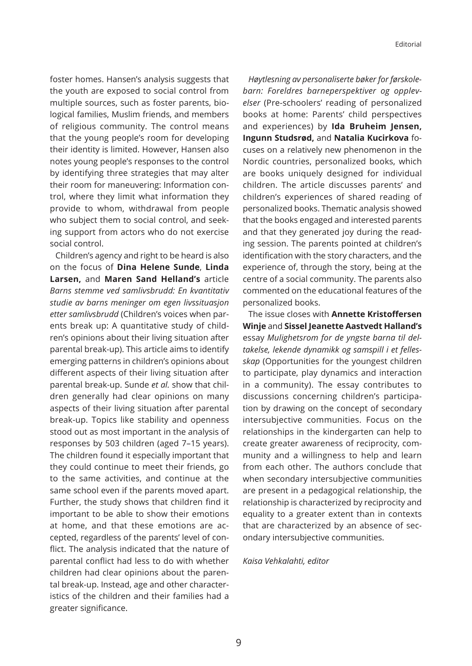foster homes. Hansen's analysis suggests that the youth are exposed to social control from multiple sources, such as foster parents, biological families, Muslim friends, and members of religious community. The control means that the young people's room for developing their identity is limited. However, Hansen also notes young people's responses to the control by identifying three strategies that may alter their room for maneuvering: Information control, where they limit what information they provide to whom, withdrawal from people who subject them to social control, and seeking support from actors who do not exercise social control.

Children's agency and right to be heard is also on the focus of **Dina Helene Sunde**, **Linda Larsen,** and **Maren Sand Helland's** article *Barns stemme ved samlivsbrudd: En kvantitativ studie av barns meninger om egen livssituasjon etter samlivsbrudd* (Children's voices when parents break up: A quantitative study of children's opinions about their living situation after parental break-up). This article aims to identify emerging patterns in children's opinions about different aspects of their living situation after parental break-up. Sunde *et al.* show that children generally had clear opinions on many aspects of their living situation after parental break-up. Topics like stability and openness stood out as most important in the analysis of responses by 503 children (aged 7–15 years). The children found it especially important that they could continue to meet their friends, go to the same activities, and continue at the same school even if the parents moved apart. Further, the study shows that children find it important to be able to show their emotions at home, and that these emotions are accepted, regardless of the parents' level of conflict. The analysis indicated that the nature of parental conflict had less to do with whether children had clear opinions about the parental break-up. Instead, age and other characteristics of the children and their families had a greater significance.

*Høytlesning av personaliserte bøker for førskolebarn: Foreldres barneperspektiver og opplevelser* (Pre-schoolers' reading of personalized books at home: Parents' child perspectives and experiences) by **Ida Bruheim Jensen, Ingunn Studsrød,** and **Natalia Kucirkova** focuses on a relatively new phenomenon in the Nordic countries, personalized books, which are books uniquely designed for individual children. The article discusses parents' and children's experiences of shared reading of personalized books. Thematic analysis showed that the books engaged and interested parents and that they generated joy during the reading session. The parents pointed at children's identification with the story characters, and the experience of, through the story, being at the centre of a social community. The parents also commented on the educational features of the personalized books.

The issue closes with **Annette Kristoffersen Winje** and **Sissel Jeanette Aastvedt Halland's** essay *Mulighetsrom for de yngste barna til deltakelse, lekende dynamikk og samspill i et fellesskap* (Opportunities for the youngest children to participate, play dynamics and interaction in a community). The essay contributes to discussions concerning children's participation by drawing on the concept of secondary intersubjective communities. Focus on the relationships in the kindergarten can help to create greater awareness of reciprocity, community and a willingness to help and learn from each other. The authors conclude that when secondary intersubjective communities are present in a pedagogical relationship, the relationship is characterized by reciprocity and equality to a greater extent than in contexts that are characterized by an absence of secondary intersubjective communities.

## *Kaisa Vehkalahti, editor*